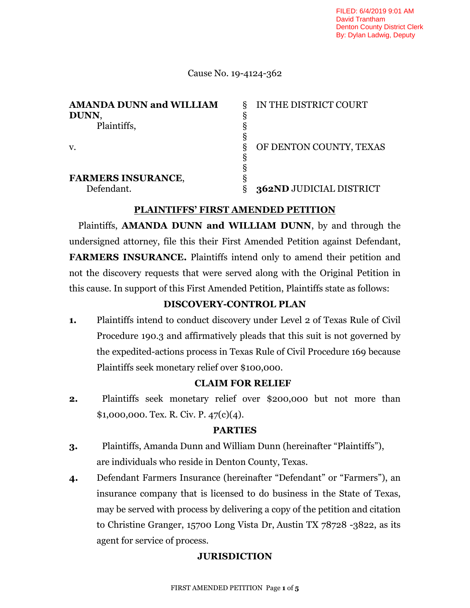Cause No. 19-4124-362

| <b>AMANDA DUNN and WILLIAM</b> | IN THE DISTRICT COURT   |
|--------------------------------|-------------------------|
| <b>DUNN</b>                    |                         |
| Plaintiffs,                    |                         |
|                                |                         |
| V.                             | OF DENTON COUNTY, TEXAS |
|                                |                         |
|                                |                         |
| <b>FARMERS INSURANCE,</b>      |                         |
| Defendant.                     | 362ND JUDICIAL DISTRICT |

# **PLAINTIFFS' FIRST AMENDED PETITION**

Plaintiffs, **AMANDA DUNN and WILLIAM DUNN**, by and through the undersigned attorney, file this their First Amended Petition against Defendant, **FARMERS INSURANCE.** Plaintiffs intend only to amend their petition and not the discovery requests that were served along with the Original Petition in this cause. In support of this First Amended Petition, Plaintiffs state as follows:

# **DISCOVERY-CONTROL PLAN**

**1.** Plaintiffs intend to conduct discovery under Level 2 of Texas Rule of Civil Procedure 190.3 and affirmatively pleads that this suit is not governed by the expedited-actions process in Texas Rule of Civil Procedure 169 because Plaintiffs seek monetary relief over \$100,000.

# **CLAIM FOR RELIEF**

**2.** Plaintiffs seek monetary relief over \$200,000 but not more than \$1,000,000. Tex. R. Civ. P. 47(c)(4).

# **PARTIES**

- **3.** Plaintiffs, Amanda Dunn and William Dunn (hereinafter "Plaintiffs"), are individuals who reside in Denton County, Texas.
- **4.** Defendant Farmers Insurance (hereinafter "Defendant" or "Farmers"), an insurance company that is licensed to do business in the State of Texas, may be served with process by delivering a copy of the petition and citation to Christine Granger, 15700 Long Vista Dr, Austin TX 78728 -3822, as its agent for service of process.

# **JURISDICTION**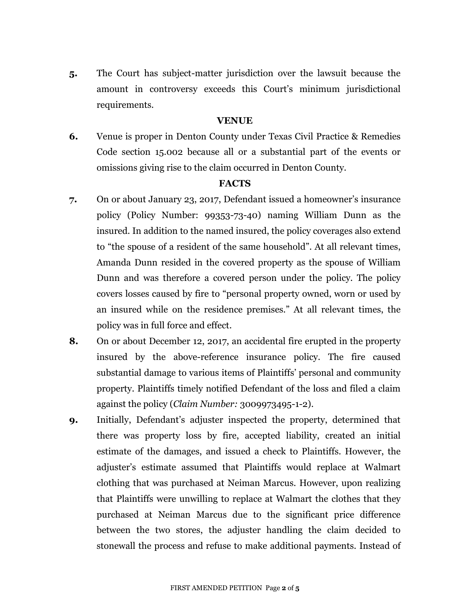**5.** The Court has subject-matter jurisdiction over the lawsuit because the amount in controversy exceeds this Court's minimum jurisdictional requirements.

### **VENUE**

**6.** Venue is proper in Denton County under Texas Civil Practice & Remedies Code section 15.002 because all or a substantial part of the events or omissions giving rise to the claim occurred in Denton County.

### **FACTS**

- **7.** On or about January 23, 2017, Defendant issued a homeowner's insurance policy (Policy Number: 99353-73-40) naming William Dunn as the insured. In addition to the named insured, the policy coverages also extend to "the spouse of a resident of the same household". At all relevant times, Amanda Dunn resided in the covered property as the spouse of William Dunn and was therefore a covered person under the policy. The policy covers losses caused by fire to "personal property owned, worn or used by an insured while on the residence premises." At all relevant times, the policy was in full force and effect.
- **8.** On or about December 12, 2017, an accidental fire erupted in the property insured by the above-reference insurance policy. The fire caused substantial damage to various items of Plaintiffs' personal and community property. Plaintiffs timely notified Defendant of the loss and filed a claim against the policy (*Claim Number:* 3009973495-1-2).
- **9.** Initially, Defendant's adjuster inspected the property, determined that there was property loss by fire, accepted liability, created an initial estimate of the damages, and issued a check to Plaintiffs. However, the adjuster's estimate assumed that Plaintiffs would replace at Walmart clothing that was purchased at Neiman Marcus. However, upon realizing that Plaintiffs were unwilling to replace at Walmart the clothes that they purchased at Neiman Marcus due to the significant price difference between the two stores, the adjuster handling the claim decided to stonewall the process and refuse to make additional payments. Instead of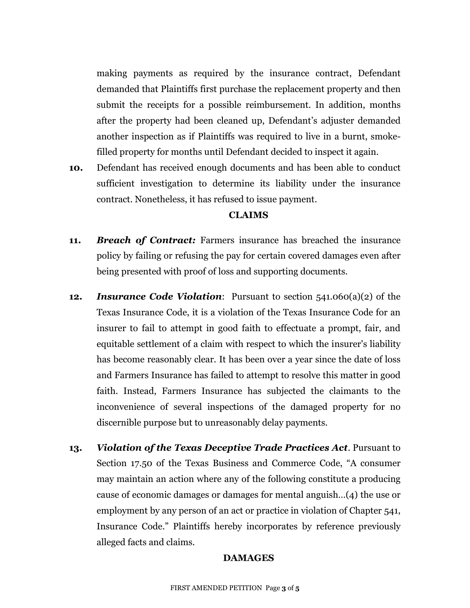making payments as required by the insurance contract, Defendant demanded that Plaintiffs first purchase the replacement property and then submit the receipts for a possible reimbursement. In addition, months after the property had been cleaned up, Defendant's adjuster demanded another inspection as if Plaintiffs was required to live in a burnt, smokefilled property for months until Defendant decided to inspect it again.

**10.** Defendant has received enough documents and has been able to conduct sufficient investigation to determine its liability under the insurance contract. Nonetheless, it has refused to issue payment.

### **CLAIMS**

- **11.** *Breach of Contract:* Farmers insurance has breached the insurance policy by failing or refusing the pay for certain covered damages even after being presented with proof of loss and supporting documents.
- **12.** *Insurance Code Violation*: Pursuant to section 541.060(a)(2) of the Texas Insurance Code, it is a violation of the Texas Insurance Code for an insurer to fail to attempt in good faith to effectuate a prompt, fair, and equitable settlement of a claim with respect to which the insurer's liability has become reasonably clear. It has been over a year since the date of loss and Farmers Insurance has failed to attempt to resolve this matter in good faith. Instead, Farmers Insurance has subjected the claimants to the inconvenience of several inspections of the damaged property for no discernible purpose but to unreasonably delay payments.
- **13.** *Violation of the Texas Deceptive Trade Practices Act*. Pursuant to Section 17.50 of the Texas Business and Commerce Code, "A consumer may maintain an action where any of the following constitute a producing cause of economic damages or damages for mental anguish…(4) the use or employment by any person of an act or practice in violation of Chapter 541, Insurance Code." Plaintiffs hereby incorporates by reference previously alleged facts and claims.

#### **DAMAGES**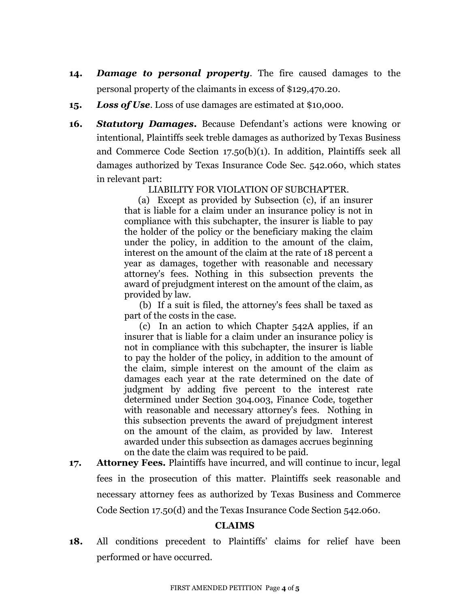- **14.** *Damage to personal property*. The fire caused damages to the personal property of the claimants in excess of \$129,470.20.
- **15.** *Loss of Use*. Loss of use damages are estimated at \$10,000.
- **16.** *Statutory Damages***.** Because Defendant's actions were knowing or intentional, Plaintiffs seek treble damages as authorized by Texas Business and Commerce Code Section 17.50(b)(1). In addition, Plaintiffs seek all damages authorized by Texas Insurance Code Sec. 542.060, which states in relevant part:

LIABILITY FOR VIOLATION OF SUBCHAPTER.

(a) Except as provided by Subsection (c), if an insurer that is liable for a claim under an insurance policy is not in compliance with this subchapter, the insurer is liable to pay the holder of the policy or the beneficiary making the claim under the policy, in addition to the amount of the claim, interest on the amount of the claim at the rate of 18 percent a year as damages, together with reasonable and necessary attorney's fees. Nothing in this subsection prevents the award of prejudgment interest on the amount of the claim, as provided by law.

(b) If a suit is filed, the attorney's fees shall be taxed as part of the costs in the case.

(c) In an action to which Chapter 542A applies, if an insurer that is liable for a claim under an insurance policy is not in compliance with this subchapter, the insurer is liable to pay the holder of the policy, in addition to the amount of the claim, simple interest on the amount of the claim as damages each year at the rate determined on the date of judgment by adding five percent to the interest rate determined under Section 304.003, Finance Code, together with reasonable and necessary attorney's fees. Nothing in this subsection prevents the award of prejudgment interest on the amount of the claim, as provided by law. Interest awarded under this subsection as damages accrues beginning on the date the claim was required to be paid.

**17. Attorney Fees.** Plaintiffs have incurred, and will continue to incur, legal fees in the prosecution of this matter. Plaintiffs seek reasonable and necessary attorney fees as authorized by Texas Business and Commerce Code Section 17.50(d) and the Texas Insurance Code Section 542.060.

# **CLAIMS**

**18.** All conditions precedent to Plaintiffs' claims for relief have been performed or have occurred.